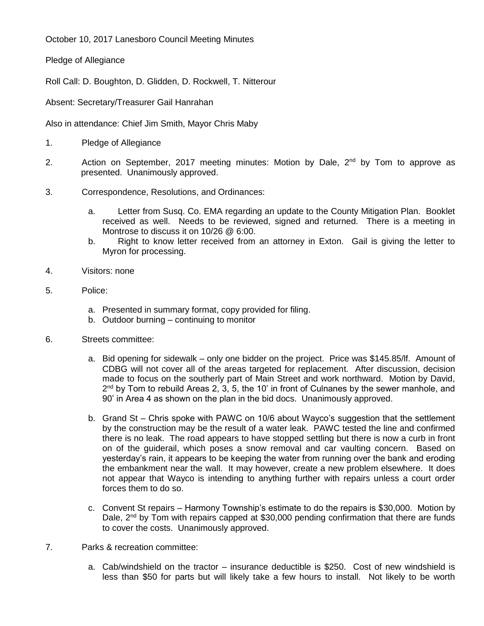October 10, 2017 Lanesboro Council Meeting Minutes

Pledge of Allegiance

Roll Call: D. Boughton, D. Glidden, D. Rockwell, T. Nitterour

Absent: Secretary/Treasurer Gail Hanrahan

Also in attendance: Chief Jim Smith, Mayor Chris Maby

- 1. Pledge of Allegiance
- 2. Action on September, 2017 meeting minutes: Motion by Dale, 2<sup>nd</sup> by Tom to approve as presented. Unanimously approved.
- 3. Correspondence, Resolutions, and Ordinances:
	- a. Letter from Susq. Co. EMA regarding an update to the County Mitigation Plan. Booklet received as well. Needs to be reviewed, signed and returned. There is a meeting in Montrose to discuss it on 10/26 @ 6:00.
	- b. Right to know letter received from an attorney in Exton. Gail is giving the letter to Myron for processing.
- 4. Visitors: none
- 5. Police:
	- a. Presented in summary format, copy provided for filing.
	- b. Outdoor burning continuing to monitor
- 6. Streets committee:
	- a. Bid opening for sidewalk only one bidder on the project. Price was \$145.85/lf. Amount of CDBG will not cover all of the areas targeted for replacement. After discussion, decision made to focus on the southerly part of Main Street and work northward. Motion by David, 2<sup>nd</sup> by Tom to rebuild Areas 2, 3, 5, the 10' in front of Culnanes by the sewer manhole, and 90' in Area 4 as shown on the plan in the bid docs. Unanimously approved.
	- b. Grand St Chris spoke with PAWC on 10/6 about Wayco's suggestion that the settlement by the construction may be the result of a water leak. PAWC tested the line and confirmed there is no leak. The road appears to have stopped settling but there is now a curb in front on of the guiderail, which poses a snow removal and car vaulting concern. Based on yesterday's rain, it appears to be keeping the water from running over the bank and eroding the embankment near the wall. It may however, create a new problem elsewhere. It does not appear that Wayco is intending to anything further with repairs unless a court order forces them to do so.
	- c. Convent St repairs Harmony Township's estimate to do the repairs is \$30,000. Motion by Dale,  $2^{nd}$  by Tom with repairs capped at \$30,000 pending confirmation that there are funds to cover the costs. Unanimously approved.
- 7. Parks & recreation committee:
	- a. Cab/windshield on the tractor insurance deductible is \$250. Cost of new windshield is less than \$50 for parts but will likely take a few hours to install. Not likely to be worth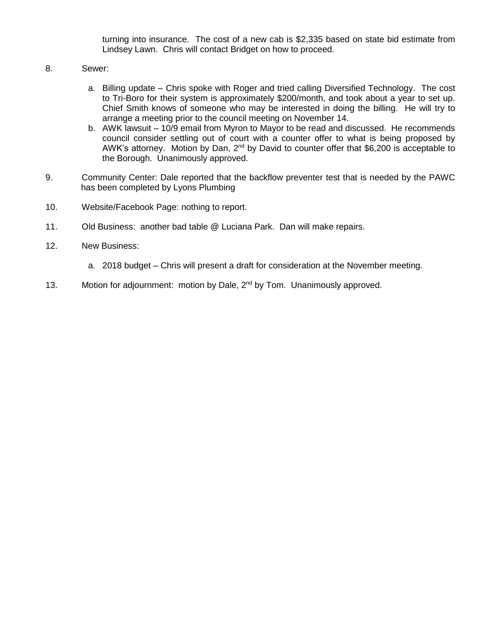turning into insurance. The cost of a new cab is \$2,335 based on state bid estimate from Lindsey Lawn. Chris will contact Bridget on how to proceed.

- 8. Sewer:
	- a. Billing update Chris spoke with Roger and tried calling Diversified Technology. The cost to Tri-Boro for their system is approximately \$200/month, and took about a year to set up. Chief Smith knows of someone who may be interested in doing the billing. He will try to arrange a meeting prior to the council meeting on November 14.
	- b. AWK lawsuit 10/9 email from Myron to Mayor to be read and discussed. He recommends council consider settling out of court with a counter offer to what is being proposed by AWK's attorney. Motion by Dan, 2<sup>nd</sup> by David to counter offer that \$6,200 is acceptable to the Borough. Unanimously approved.
- 9. Community Center: Dale reported that the backflow preventer test that is needed by the PAWC has been completed by Lyons Plumbing
- 10. Website/Facebook Page: nothing to report.
- 11. Old Business: another bad table @ Luciana Park. Dan will make repairs.
- 12. New Business:
	- a. 2018 budget Chris will present a draft for consideration at the November meeting.
- 13. Motion for adjournment: motion by Dale, 2<sup>nd</sup> by Tom. Unanimously approved.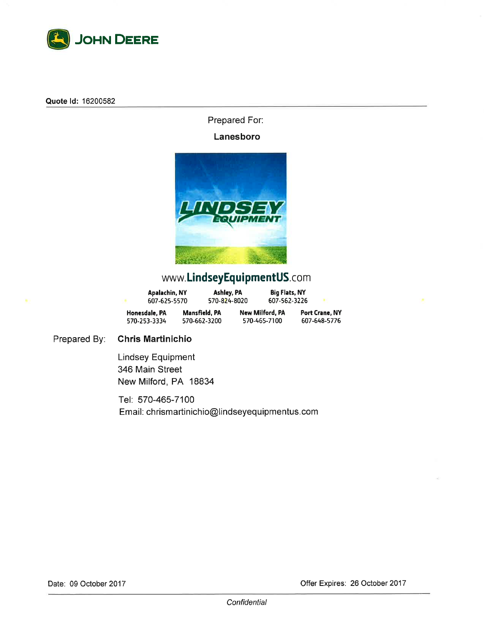

Quote Id: 16200582

Prepared For:

## Lanesboro



## www.LindseyEquipmentUS.com

| Apalachin, NY<br>607-625-5570 | Ashley, PA<br>570-824-8020           | <b>Big Flats, NY</b><br>607-562-3226 |                                |
|-------------------------------|--------------------------------------|--------------------------------------|--------------------------------|
| Honesdale, PA<br>570-253-3334 | <b>Mansfield, PA</b><br>570-662-3200 | New Milford, PA<br>570-465-7100      | Port Crane, NY<br>607-648-5776 |

Prepared By: **Chris Martinichio** 

> **Lindsey Equipment** 346 Main Street New Milford, PA 18834

Tel: 570-465-7100 Email: chrismartinichio@lindseyequipmentus.com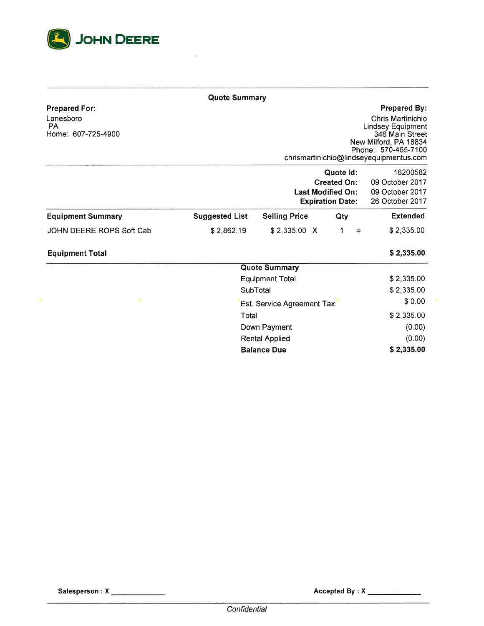

|                                                                      | <b>Quote Summary</b>       |                                                                                        |     |     |                                                                                                                                                                                    |
|----------------------------------------------------------------------|----------------------------|----------------------------------------------------------------------------------------|-----|-----|------------------------------------------------------------------------------------------------------------------------------------------------------------------------------------|
| <b>Prepared For:</b><br>Lanesboro<br><b>PA</b><br>Home: 607-725-4900 |                            |                                                                                        |     |     | <b>Prepared By:</b><br>Chris Martinichio<br><b>Lindsey Equipment</b><br>346 Main Street<br>New Milford, PA 18834<br>Phone: 570-465-7100<br>chrismartinichio@lindseyequipmentus.com |
|                                                                      |                            | Quote Id:<br><b>Created On:</b><br><b>Last Modified On:</b><br><b>Expiration Date:</b> |     |     |                                                                                                                                                                                    |
| <b>Equipment Summary</b>                                             | <b>Suggested List</b>      | <b>Selling Price</b>                                                                   | Qty |     | <b>Extended</b>                                                                                                                                                                    |
| JOHN DEERE ROPS Soft Cab                                             | \$2,862.19                 | \$2,335.00 X                                                                           | 1   | $=$ | \$2,335.00                                                                                                                                                                         |
| <b>Equipment Total</b>                                               |                            |                                                                                        |     |     | \$2,335.00                                                                                                                                                                         |
|                                                                      | <b>Quote Summary</b>       |                                                                                        |     |     |                                                                                                                                                                                    |
|                                                                      | <b>Equipment Total</b>     |                                                                                        |     |     | \$2,335.00                                                                                                                                                                         |
|                                                                      | SubTotal                   | \$2,335.00                                                                             |     |     |                                                                                                                                                                                    |
| ×                                                                    | Est. Service Agreement Tax |                                                                                        |     |     | \$0.00                                                                                                                                                                             |
|                                                                      | Total                      |                                                                                        |     |     | \$2,335.00                                                                                                                                                                         |
|                                                                      | Down Payment               | (0.00)                                                                                 |     |     |                                                                                                                                                                                    |
|                                                                      | <b>Rental Applied</b>      |                                                                                        |     |     | (0.00)                                                                                                                                                                             |
|                                                                      | <b>Balance Due</b>         |                                                                                        |     |     | \$2,335.00                                                                                                                                                                         |

Accepted By : X

 $\overline{\phantom{a}}$